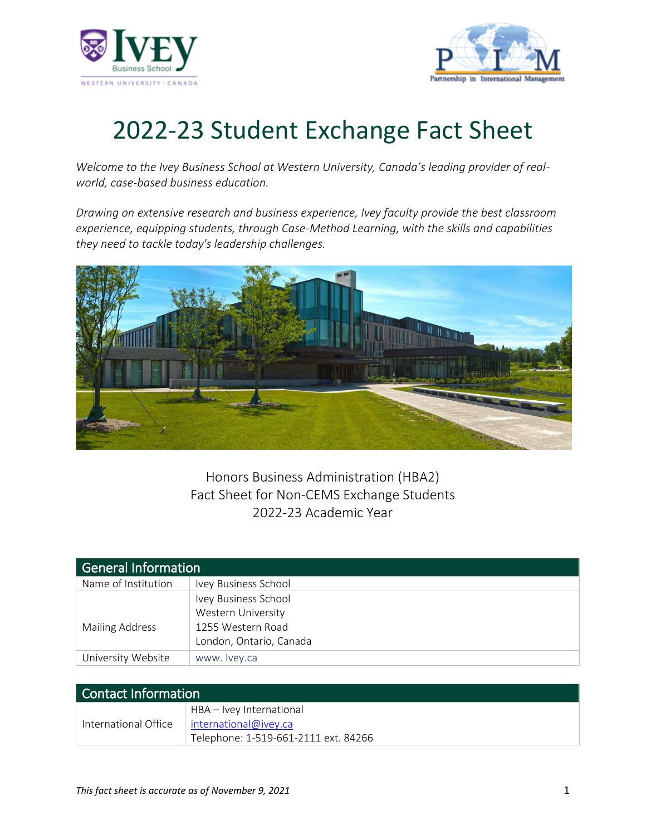



## 2022-23 Student Exchange Fact Sheet

*Welcome to the Ivey Business School at Western University, Canada's leading provider of realworld, case-based business education.*

*Drawing on extensive research and business experience, Ivey faculty provide the best classroom experience, equipping students, through Case-Method Learning, with the skills and capabilities they need to tackle today's leadership challenges.* 



Honors Business Administration (HBA2) Fact Sheet for Non-CEMS Exchange Students 2022-23 Academic Year

| General Information |                           |
|---------------------|---------------------------|
| Name of Institution | Ivey Business School      |
|                     | Ivey Business School      |
|                     | <b>Western University</b> |
| Mailing Address     | 1255 Western Road         |
|                     | London, Ontario, Canada   |
| University Website  | www. Ivey.ca              |

| Contact Information  |                                                                                           |  |
|----------------------|-------------------------------------------------------------------------------------------|--|
| International Office | HBA – Ivey International<br>international@ivey.ca<br>Telephone: 1-519-661-2111 ext. 84266 |  |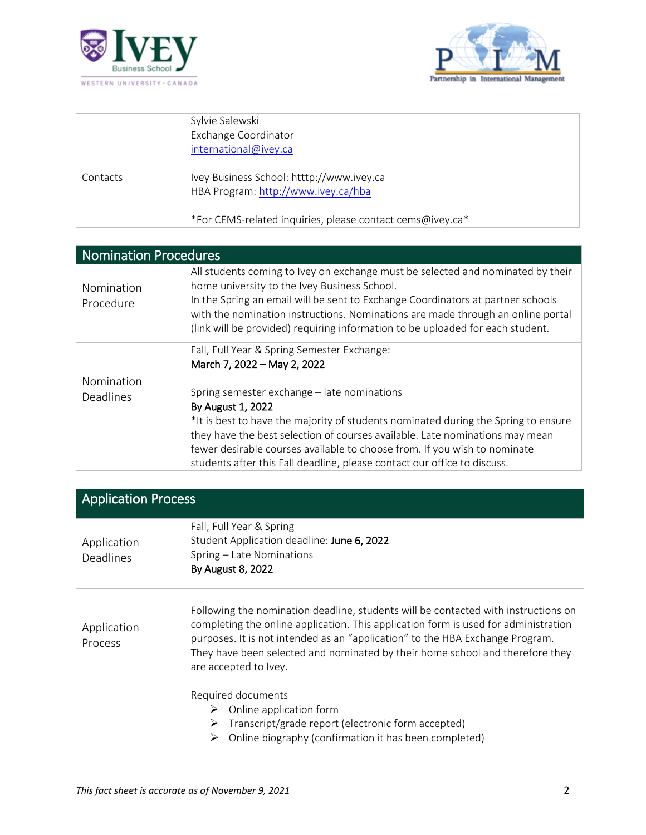



|          | Sylvie Salewski<br>Exchange Coordinator<br>international@ivey.ca                 |
|----------|----------------------------------------------------------------------------------|
| Contacts | Ivey Business School: htttp://www.ivey.ca<br>HBA Program: http://www.ivey.ca/hba |
|          | *For CEMS-related inquiries, please contact cems@ivey.ca*                        |

| <b>Nomination Procedures</b>   |                                                                                                                                                                                                                                                                                                                                                                                                                                                                               |  |
|--------------------------------|-------------------------------------------------------------------------------------------------------------------------------------------------------------------------------------------------------------------------------------------------------------------------------------------------------------------------------------------------------------------------------------------------------------------------------------------------------------------------------|--|
| Nomination<br>Procedure        | All students coming to Ivey on exchange must be selected and nominated by their<br>home university to the Ivey Business School.<br>In the Spring an email will be sent to Exchange Coordinators at partner schools<br>with the nomination instructions. Nominations are made through an online portal<br>(link will be provided) requiring information to be uploaded for each student.                                                                                       |  |
| Nomination<br><b>Deadlines</b> | Fall, Full Year & Spring Semester Exchange:<br>March 7, 2022 - May 2, 2022<br>Spring semester exchange - late nominations<br>By August 1, 2022<br>*It is best to have the majority of students nominated during the Spring to ensure<br>they have the best selection of courses available. Late nominations may mean<br>fewer desirable courses available to choose from. If you wish to nominate<br>students after this Fall deadline, please contact our office to discuss. |  |

| <b>Application Process</b>      |                                                                                                                                                                                                                                                                                                                                                                      |  |
|---------------------------------|----------------------------------------------------------------------------------------------------------------------------------------------------------------------------------------------------------------------------------------------------------------------------------------------------------------------------------------------------------------------|--|
| Application<br><b>Deadlines</b> | Fall, Full Year & Spring<br>Student Application deadline: June 6, 2022<br>Spring - Late Nominations<br>By August 8, 2022                                                                                                                                                                                                                                             |  |
| Application<br>Process          | Following the nomination deadline, students will be contacted with instructions on<br>completing the online application. This application form is used for administration<br>purposes. It is not intended as an "application" to the HBA Exchange Program.<br>They have been selected and nominated by their home school and therefore they<br>are accepted to Ivey. |  |
|                                 | Required documents<br>Online application form<br>➤<br>Transcript/grade report (electronic form accepted)<br>➤<br>Online biography (confirmation it has been completed)<br>⋗                                                                                                                                                                                          |  |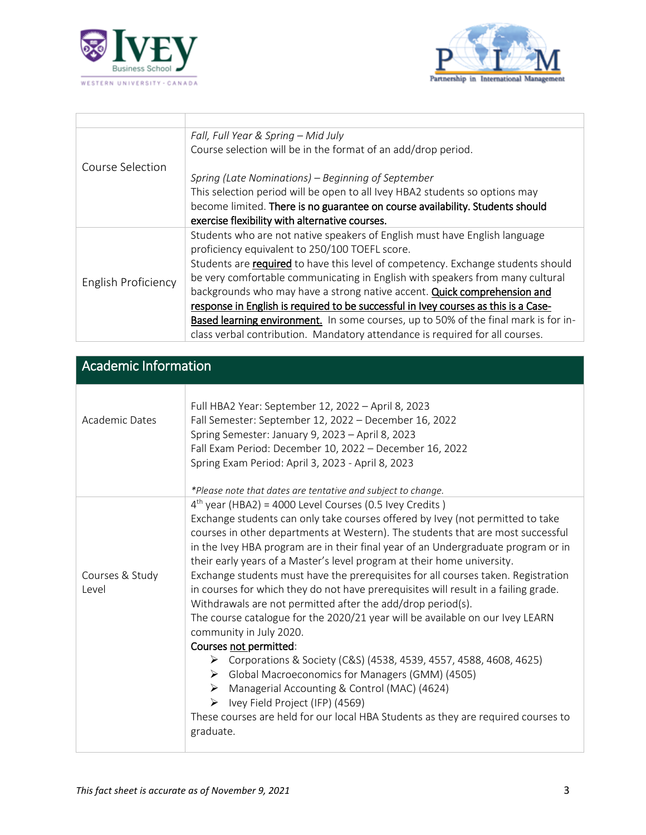



|                     | Fall, Full Year & Spring - Mid July                                                 |
|---------------------|-------------------------------------------------------------------------------------|
|                     | Course selection will be in the format of an add/drop period.                       |
| Course Selection    |                                                                                     |
|                     | Spring (Late Nominations) – Beginning of September                                  |
|                     | This selection period will be open to all Ivey HBA2 students so options may         |
|                     | become limited. There is no guarantee on course availability. Students should       |
|                     | exercise flexibility with alternative courses.                                      |
|                     | Students who are not native speakers of English must have English language          |
|                     | proficiency equivalent to 250/100 TOEFL score.                                      |
|                     | Students are required to have this level of competency. Exchange students should    |
| English Proficiency | be very comfortable communicating in English with speakers from many cultural       |
|                     | backgrounds who may have a strong native accent. Quick comprehension and            |
|                     | response in English is required to be successful in Ivey courses as this is a Case- |
|                     | Based learning environment. In some courses, up to 50% of the final mark is for in- |
|                     | class verbal contribution. Mandatory attendance is required for all courses.        |

| <b>Academic Information</b> |                                                                                                                                                                                                                                                                                                                                                                                                                                                                                                                                                                                                                                                                                                                                                                                                                                                                                                                                                                                                                                                                                                            |  |
|-----------------------------|------------------------------------------------------------------------------------------------------------------------------------------------------------------------------------------------------------------------------------------------------------------------------------------------------------------------------------------------------------------------------------------------------------------------------------------------------------------------------------------------------------------------------------------------------------------------------------------------------------------------------------------------------------------------------------------------------------------------------------------------------------------------------------------------------------------------------------------------------------------------------------------------------------------------------------------------------------------------------------------------------------------------------------------------------------------------------------------------------------|--|
| Academic Dates              | Full HBA2 Year: September 12, 2022 - April 8, 2023<br>Fall Semester: September 12, 2022 - December 16, 2022<br>Spring Semester: January 9, 2023 - April 8, 2023<br>Fall Exam Period: December 10, 2022 - December 16, 2022<br>Spring Exam Period: April 3, 2023 - April 8, 2023<br>*Please note that dates are tentative and subject to change.                                                                                                                                                                                                                                                                                                                                                                                                                                                                                                                                                                                                                                                                                                                                                            |  |
| Courses & Study<br>Level    | $4th$ year (HBA2) = 4000 Level Courses (0.5 Ivey Credits)<br>Exchange students can only take courses offered by Ivey (not permitted to take<br>courses in other departments at Western). The students that are most successful<br>in the Ivey HBA program are in their final year of an Undergraduate program or in<br>their early years of a Master's level program at their home university.<br>Exchange students must have the prerequisites for all courses taken. Registration<br>in courses for which they do not have prerequisites will result in a failing grade.<br>Withdrawals are not permitted after the add/drop period(s).<br>The course catalogue for the 2020/21 year will be available on our Ivey LEARN<br>community in July 2020.<br>Courses not permitted:<br>▶ Corporations & Society (C&S) (4538, 4539, 4557, 4588, 4608, 4625)<br>> Global Macroeconomics for Managers (GMM) (4505)<br>Managerial Accounting & Control (MAC) (4624)<br>➤<br>Ivey Field Project (IFP) (4569)<br>➤<br>These courses are held for our local HBA Students as they are required courses to<br>graduate. |  |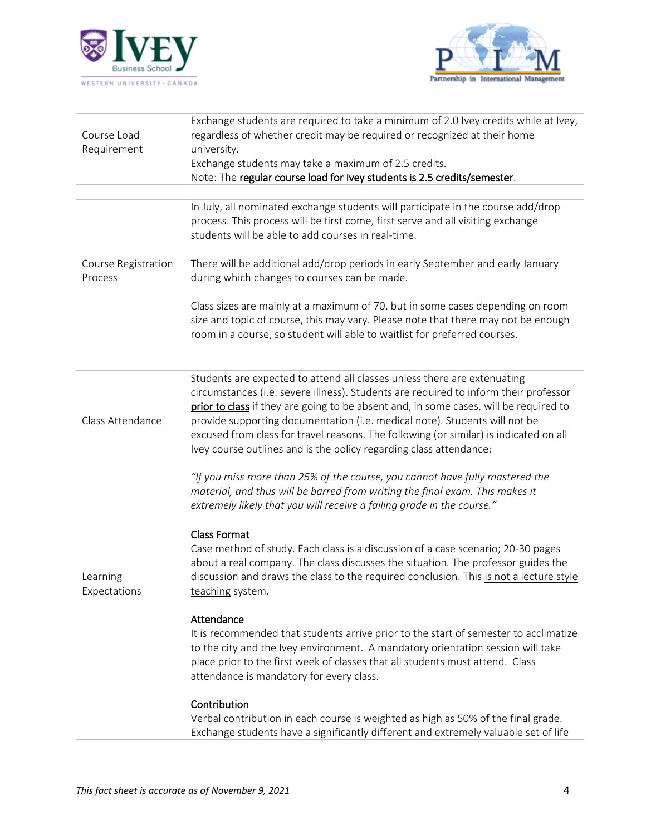



| Course Load<br>Requirement     | Exchange students are required to take a minimum of 2.0 Ivey credits while at Ivey,<br>regardless of whether credit may be required or recognized at their home<br>university.<br>Exchange students may take a maximum of 2.5 credits.<br>Note: The regular course load for Ivey students is 2.5 credits/semester.                                                                                                                                                                                                                                                                                                                                                                                                                               |
|--------------------------------|--------------------------------------------------------------------------------------------------------------------------------------------------------------------------------------------------------------------------------------------------------------------------------------------------------------------------------------------------------------------------------------------------------------------------------------------------------------------------------------------------------------------------------------------------------------------------------------------------------------------------------------------------------------------------------------------------------------------------------------------------|
| Course Registration<br>Process | In July, all nominated exchange students will participate in the course add/drop<br>process. This process will be first come, first serve and all visiting exchange<br>students will be able to add courses in real-time.<br>There will be additional add/drop periods in early September and early January<br>during which changes to courses can be made.<br>Class sizes are mainly at a maximum of 70, but in some cases depending on room<br>size and topic of course, this may vary. Please note that there may not be enough<br>room in a course, so student will able to waitlist for preferred courses.                                                                                                                                  |
| Class Attendance               | Students are expected to attend all classes unless there are extenuating<br>circumstances (i.e. severe illness). Students are required to inform their professor<br>prior to class if they are going to be absent and, in some cases, will be required to<br>provide supporting documentation (i.e. medical note). Students will not be<br>excused from class for travel reasons. The following (or similar) is indicated on all<br>Ivey course outlines and is the policy regarding class attendance:<br>"If you miss more than 25% of the course, you cannot have fully mastered the<br>material, and thus will be barred from writing the final exam. This makes it<br>extremely likely that you will receive a failing grade in the course." |
| Learning<br>Expectations       | <b>Class Format</b><br>Case method of study. Each class is a discussion of a case scenario; 20-30 pages<br>about a real company. The class discusses the situation. The professor guides the<br>discussion and draws the class to the required conclusion. This is not a lecture style<br>teaching system.<br>Attendance<br>It is recommended that students arrive prior to the start of semester to acclimatize<br>to the city and the Ivey environment. A mandatory orientation session will take<br>place prior to the first week of classes that all students must attend. Class<br>attendance is mandatory for every class.<br>Contribution<br>Verbal contribution in each course is weighted as high as 50% of the final grade.            |
|                                | Exchange students have a significantly different and extremely valuable set of life                                                                                                                                                                                                                                                                                                                                                                                                                                                                                                                                                                                                                                                              |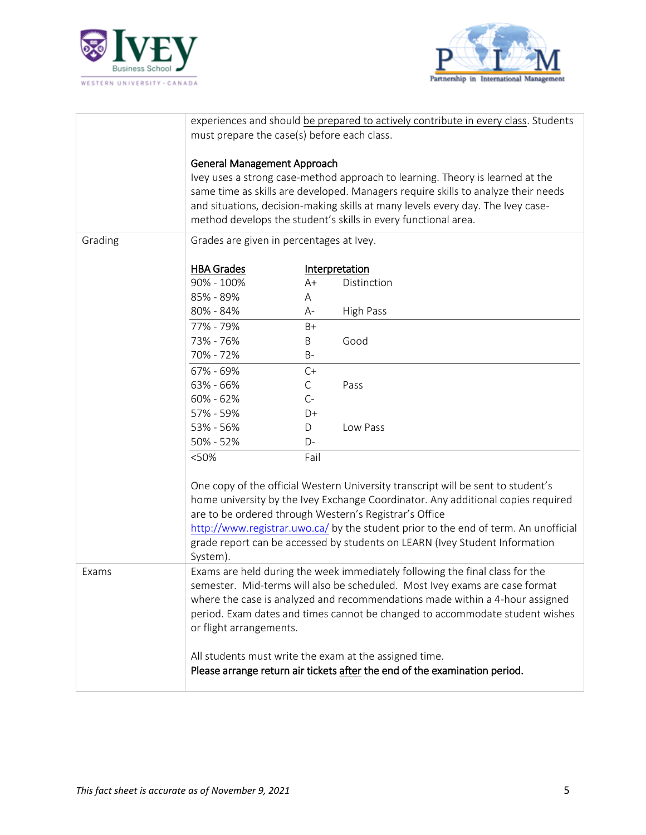



|         | experiences and should be prepared to actively contribute in every class. Students |              |                                                                                     |
|---------|------------------------------------------------------------------------------------|--------------|-------------------------------------------------------------------------------------|
|         | must prepare the case(s) before each class.                                        |              |                                                                                     |
|         |                                                                                    |              |                                                                                     |
|         | <b>General Management Approach</b>                                                 |              |                                                                                     |
|         | Ivey uses a strong case-method approach to learning. Theory is learned at the      |              |                                                                                     |
|         | same time as skills are developed. Managers require skills to analyze their needs  |              |                                                                                     |
|         |                                                                                    |              | and situations, decision-making skills at many levels every day. The Ivey case-     |
|         |                                                                                    |              | method develops the student's skills in every functional area.                      |
|         |                                                                                    |              |                                                                                     |
| Grading | Grades are given in percentages at Ivey.                                           |              |                                                                                     |
|         |                                                                                    |              |                                                                                     |
|         | <b>HBA Grades</b>                                                                  |              | Interpretation                                                                      |
|         | 90% - 100%                                                                         | $A+$         | Distinction                                                                         |
|         | 85% - 89%                                                                          | Α            |                                                                                     |
|         | 80% - 84%                                                                          | A-           | High Pass                                                                           |
|         | 77% - 79%                                                                          | $B+$         |                                                                                     |
|         | 73% - 76%                                                                          | Β            | Good                                                                                |
|         | 70% - 72%                                                                          | $B -$        |                                                                                     |
|         | 67% - 69%                                                                          | $C+$         |                                                                                     |
|         | 63% - 66%                                                                          | $\mathsf{C}$ | Pass                                                                                |
|         | 60% - 62%                                                                          | $C-$         |                                                                                     |
|         | 57% - 59%                                                                          | D+           |                                                                                     |
|         | 53% - 56%                                                                          | D            | Low Pass                                                                            |
|         | 50% - 52%                                                                          | D-           |                                                                                     |
|         | < 50%                                                                              | Fail         |                                                                                     |
|         |                                                                                    |              |                                                                                     |
|         |                                                                                    |              | One copy of the official Western University transcript will be sent to student's    |
|         |                                                                                    |              | home university by the Ivey Exchange Coordinator. Any additional copies required    |
|         |                                                                                    |              | are to be ordered through Western's Registrar's Office                              |
|         |                                                                                    |              | http://www.registrar.uwo.ca/ by the student prior to the end of term. An unofficial |
|         |                                                                                    |              | grade report can be accessed by students on LEARN (Ivey Student Information         |
|         | System).                                                                           |              |                                                                                     |
| Exams   |                                                                                    |              | Exams are held during the week immediately following the final class for the        |
|         |                                                                                    |              | semester. Mid-terms will also be scheduled. Most Ivey exams are case format         |
|         |                                                                                    |              | where the case is analyzed and recommendations made within a 4-hour assigned        |
|         |                                                                                    |              | period. Exam dates and times cannot be changed to accommodate student wishes        |
|         | or flight arrangements.                                                            |              |                                                                                     |
|         | All students must write the exam at the assigned time.                             |              |                                                                                     |
|         | Please arrange return air tickets after the end of the examination period.         |              |                                                                                     |
|         |                                                                                    |              |                                                                                     |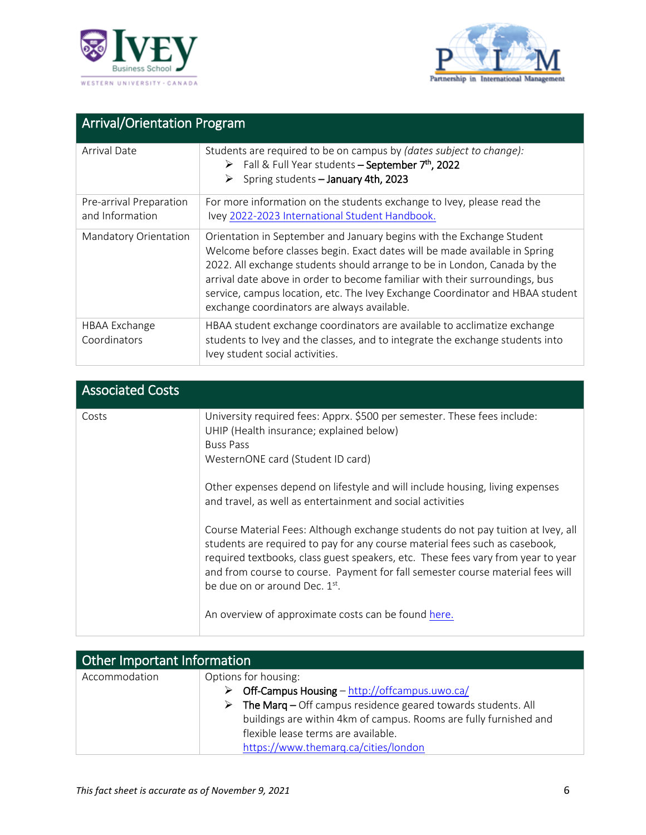



| <b>Arrival/Orientation Program</b>         |                                                                                                                                                                                                                                                                                                                                                                                                                                                 |  |
|--------------------------------------------|-------------------------------------------------------------------------------------------------------------------------------------------------------------------------------------------------------------------------------------------------------------------------------------------------------------------------------------------------------------------------------------------------------------------------------------------------|--|
| Arrival Date                               | Students are required to be on campus by (dates subject to change):<br>$\triangleright$ Fall & Full Year students – September 7 <sup>th</sup> , 2022<br>Spring students - January 4th, 2023                                                                                                                                                                                                                                                     |  |
| Pre-arrival Preparation<br>and Information | For more information on the students exchange to Ivey, please read the<br>Ivey 2022-2023 International Student Handbook.                                                                                                                                                                                                                                                                                                                        |  |
| Mandatory Orientation                      | Orientation in September and January begins with the Exchange Student<br>Welcome before classes begin. Exact dates will be made available in Spring<br>2022. All exchange students should arrange to be in London, Canada by the<br>arrival date above in order to become familiar with their surroundings, bus<br>service, campus location, etc. The Ivey Exchange Coordinator and HBAA student<br>exchange coordinators are always available. |  |
| HBAA Exchange<br>Coordinators              | HBAA student exchange coordinators are available to acclimatize exchange<br>students to Ivey and the classes, and to integrate the exchange students into<br>Ivey student social activities.                                                                                                                                                                                                                                                    |  |

| <b>Associated Costs</b> |                                                                                                                                                                                                                                                                                                                                                                                                                                            |
|-------------------------|--------------------------------------------------------------------------------------------------------------------------------------------------------------------------------------------------------------------------------------------------------------------------------------------------------------------------------------------------------------------------------------------------------------------------------------------|
| Costs                   | University required fees: Apprx. \$500 per semester. These fees include:<br>UHIP (Health insurance; explained below)<br><b>Buss Pass</b><br>WesternONE card (Student ID card)<br>Other expenses depend on lifestyle and will include housing, living expenses<br>and travel, as well as entertainment and social activities                                                                                                                |
|                         | Course Material Fees: Although exchange students do not pay tuition at Ivey, all<br>students are required to pay for any course material fees such as casebook,<br>required textbooks, class guest speakers, etc. These fees vary from year to year<br>and from course to course. Payment for fall semester course material fees will<br>be due on or around Dec. 1 <sup>st</sup> .<br>An overview of approximate costs can be found here. |

| Other Important Information |                                                                     |  |
|-----------------------------|---------------------------------------------------------------------|--|
| Accommodation               | Options for housing:                                                |  |
|                             | Off-Campus Housing - http://offcampus.uwo.ca/<br>⋗                  |  |
|                             | The Marg $-$ Off campus residence geared towards students. All<br>➤ |  |
|                             | buildings are within 4km of campus. Rooms are fully furnished and   |  |
|                             | flexible lease terms are available.                                 |  |
|                             | https://www.themarq.ca/cities/london                                |  |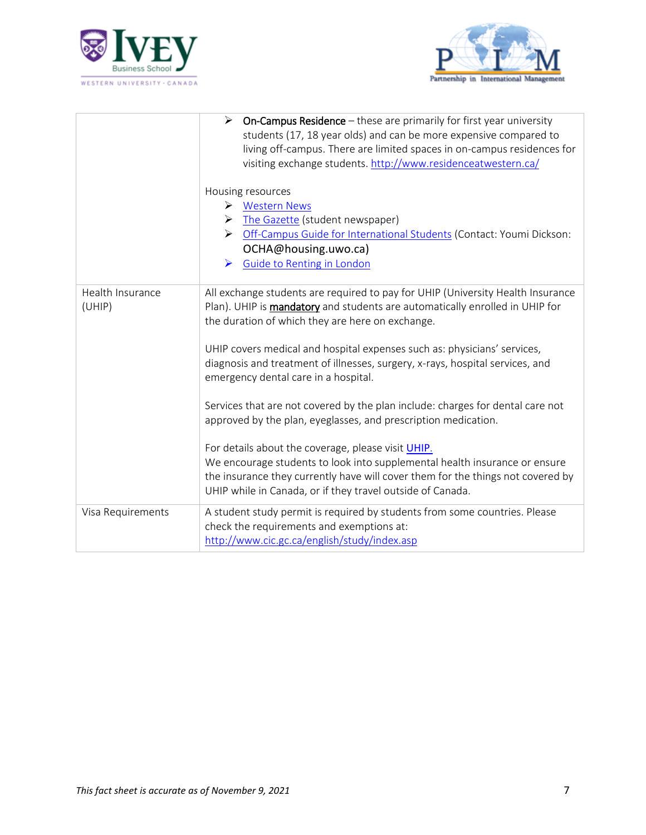



|                            | <b>On-Campus Residence</b> $-$ these are primarily for first year university<br>students (17, 18 year olds) and can be more expensive compared to<br>living off-campus. There are limited spaces in on-campus residences for<br>visiting exchange students. http://www.residenceatwestern.ca/   |
|----------------------------|-------------------------------------------------------------------------------------------------------------------------------------------------------------------------------------------------------------------------------------------------------------------------------------------------|
|                            | Housing resources<br>▶ Western News<br>The Gazette (student newspaper)<br>➤<br>Off-Campus Guide for International Students (Contact: Youmi Dickson:<br>➤<br>OCHA@housing.uwo.ca)<br>Guide to Renting in London<br>➤                                                                             |
| Health Insurance<br>(UHIP) | All exchange students are required to pay for UHIP (University Health Insurance<br>Plan). UHIP is mandatory and students are automatically enrolled in UHIP for<br>the duration of which they are here on exchange.<br>UHIP covers medical and hospital expenses such as: physicians' services, |
|                            | diagnosis and treatment of illnesses, surgery, x-rays, hospital services, and<br>emergency dental care in a hospital.                                                                                                                                                                           |
|                            | Services that are not covered by the plan include: charges for dental care not<br>approved by the plan, eyeglasses, and prescription medication.<br>For details about the coverage, please visit UHIP.                                                                                          |
|                            | We encourage students to look into supplemental health insurance or ensure<br>the insurance they currently have will cover them for the things not covered by<br>UHIP while in Canada, or if they travel outside of Canada.                                                                     |
| Visa Requirements          | A student study permit is required by students from some countries. Please<br>check the requirements and exemptions at:<br>http://www.cic.gc.ca/english/study/index.asp                                                                                                                         |